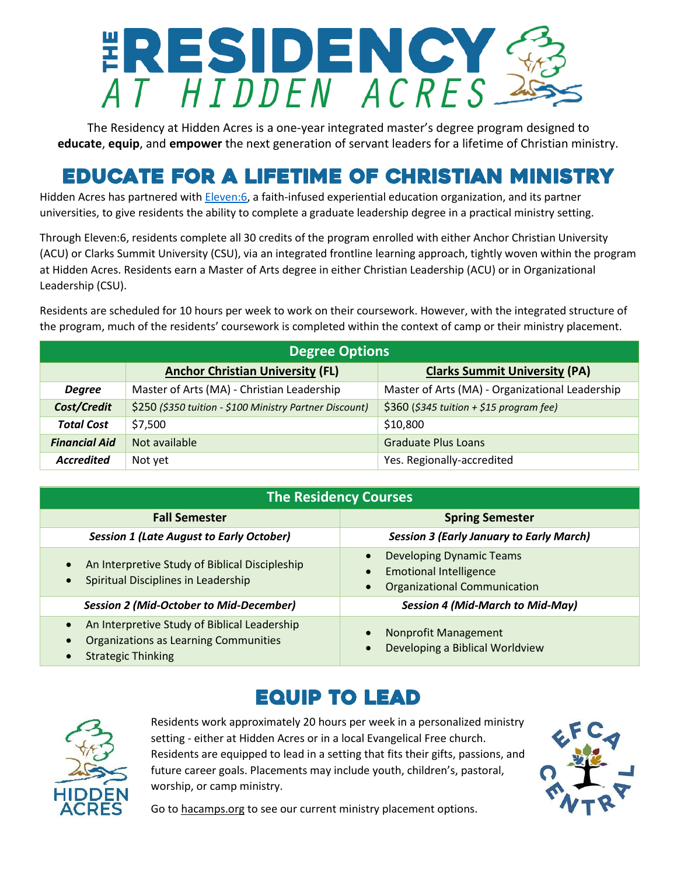# ERESIDENCY

The Residency at Hidden Acres is a one-year integrated master's degree program designed to **educate**, **equip**, and **empower** the next generation of servant leaders for a lifetime of Christian ministry.

# Educate for a Lifetime of Christian Ministry

Hidden Acres has partnered wit[h Eleven:6,](https://eleven6.org/) a faith-infused experiential education organization, and its partner universities, to give residents the ability to complete a graduate leadership degree in a practical ministry setting.

Through Eleven:6, residents complete all 30 credits of the program enrolled with either Anchor Christian University (ACU) or Clarks Summit University (CSU), via an integrated frontline learning approach, tightly woven within the program at Hidden Acres. Residents earn a Master of Arts degree in either Christian Leadership (ACU) or in Organizational Leadership (CSU).

Residents are scheduled for 10 hours per week to work on their coursework. However, with the integrated structure of the program, much of the residents' coursework is completed within the context of camp or their ministry placement.

| <b>Degree Options</b> |                                                         |                                                 |  |  |
|-----------------------|---------------------------------------------------------|-------------------------------------------------|--|--|
|                       | <b>Anchor Christian University (FL)</b>                 | <b>Clarks Summit University (PA)</b>            |  |  |
| <b>Degree</b>         | Master of Arts (MA) - Christian Leadership              | Master of Arts (MA) - Organizational Leadership |  |  |
| Cost/Credit           | \$250 (\$350 tuition - \$100 Ministry Partner Discount) | \$360 (\$345 tuition + \$15 program fee)        |  |  |
| <b>Total Cost</b>     | \$7,500                                                 | \$10,800                                        |  |  |
| <b>Financial Aid</b>  | Not available                                           | <b>Graduate Plus Loans</b>                      |  |  |
| <b>Accredited</b>     | Not yet                                                 | Yes. Regionally-accredited                      |  |  |

| <b>The Residency Courses</b>                                                                                                                                     |                                                                                                         |  |  |  |
|------------------------------------------------------------------------------------------------------------------------------------------------------------------|---------------------------------------------------------------------------------------------------------|--|--|--|
| <b>Fall Semester</b>                                                                                                                                             | <b>Spring Semester</b>                                                                                  |  |  |  |
| <b>Session 1 (Late August to Early October)</b>                                                                                                                  | <b>Session 3 (Early January to Early March)</b>                                                         |  |  |  |
| An Interpretive Study of Biblical Discipleship<br>$\bullet$<br>Spiritual Disciplines in Leadership<br>$\bullet$                                                  | <b>Developing Dynamic Teams</b><br><b>Emotional Intelligence</b><br><b>Organizational Communication</b> |  |  |  |
| <b>Session 2 (Mid-October to Mid-December)</b>                                                                                                                   | <b>Session 4 (Mid-March to Mid-May)</b>                                                                 |  |  |  |
| An Interpretive Study of Biblical Leadership<br>$\bullet$<br><b>Organizations as Learning Communities</b><br>$\bullet$<br><b>Strategic Thinking</b><br>$\bullet$ | Nonprofit Management<br>Developing a Biblical Worldview                                                 |  |  |  |

### Equip to Lead



Residents work approximately 20 hours per week in a personalized ministry setting - either at Hidden Acres or in a local Evangelical Free church. Residents are equipped to lead in a setting that fits their gifts, passions, and future career goals. Placements may include youth, children's, pastoral, worship, or camp ministry.



Go t[o hacamps.org](https://www.hacamps.org/) to see our current ministry placement options.